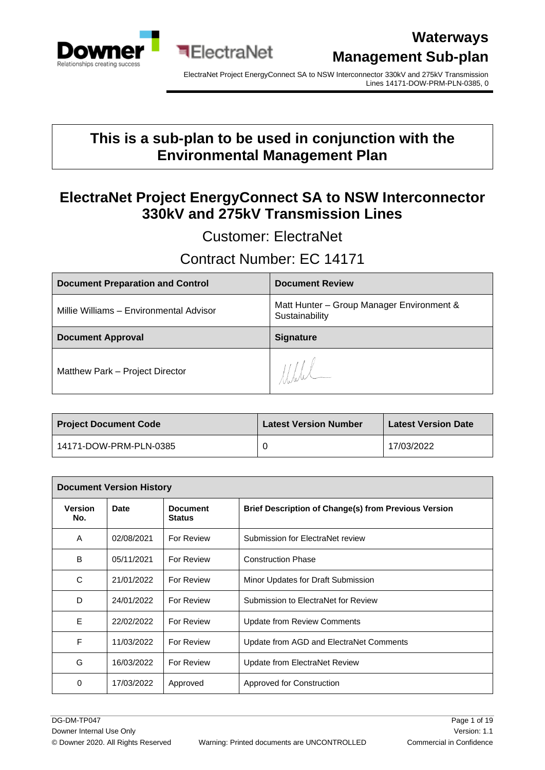

ElectraNet Project EnergyConnect SA to NSW Interconnector 330kV and 275kV Transmission Lines 14171-DOW-PRM-PLN-0385, 0

### **This is a sub-plan to be used in conjunction with the Environmental Management Plan**

### **ElectraNet Project EnergyConnect SA to NSW Interconnector 330kV and 275kV Transmission Lines**

Customer: ElectraNet

### Contract Number: EC 14171

| <b>Document Preparation and Control</b> | <b>Document Review</b>                                      |
|-----------------------------------------|-------------------------------------------------------------|
| Millie Williams - Environmental Advisor | Matt Hunter - Group Manager Environment &<br>Sustainability |
| <b>Document Approval</b>                | <b>Signature</b>                                            |
| Matthew Park - Project Director         | $\frac{1}{2}$                                               |

| <b>Project Document Code</b> | <b>Latest Version Number</b> | <b>Latest Version Date</b> |
|------------------------------|------------------------------|----------------------------|
| 14171-DOW-PRM-PLN-0385       |                              | 17/03/2022                 |

| <b>Document Version History</b> |            |                                  |                                                             |
|---------------------------------|------------|----------------------------------|-------------------------------------------------------------|
| <b>Version</b><br>No.           | Date       | <b>Document</b><br><b>Status</b> | <b>Brief Description of Change(s) from Previous Version</b> |
| A                               | 02/08/2021 | For Review                       | Submission for ElectraNet review                            |
| B                               | 05/11/2021 | For Review                       | <b>Construction Phase</b>                                   |
| C                               | 21/01/2022 | For Review                       | Minor Updates for Draft Submission                          |
| D                               | 24/01/2022 | For Review                       | Submission to ElectraNet for Review                         |
| E                               | 22/02/2022 | For Review                       | <b>Update from Review Comments</b>                          |
| F                               | 11/03/2022 | For Review                       | Update from AGD and ElectraNet Comments                     |
| G                               | 16/03/2022 | For Review                       | Update from ElectraNet Review                               |
| 0                               | 17/03/2022 | Approved                         | Approved for Construction                                   |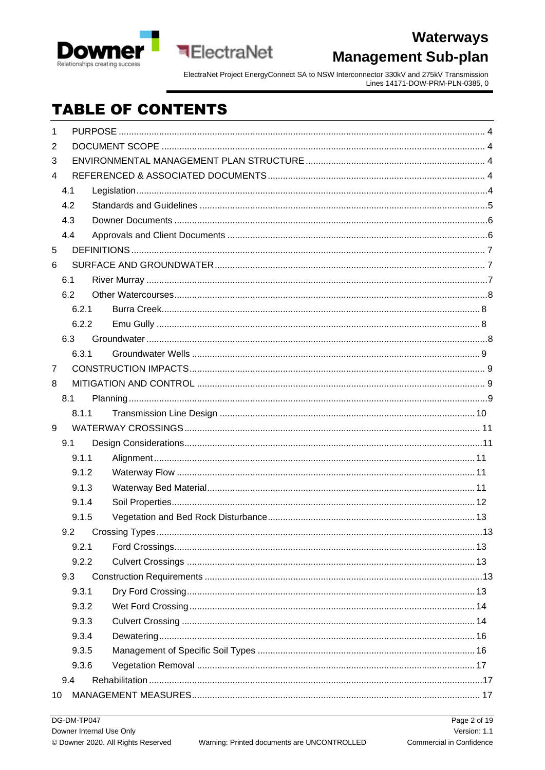

ElectraNet Project EnergyConnect SA to NSW Interconnector 330kV and 275kV Transmission<br>Lines 14171-DOW-PRM-PLN-0385, 0

# **TABLE OF CONTENTS**

**ElectraNet** 

| 1              |       |  |
|----------------|-------|--|
| $\overline{2}$ |       |  |
| 3              |       |  |
| 4              |       |  |
| 4.1            |       |  |
| 4.2            |       |  |
| 4.3            |       |  |
| 4.4            |       |  |
| 5              |       |  |
| 6              |       |  |
| 6.1            |       |  |
| 6.2            |       |  |
|                | 6.2.1 |  |
|                | 6.2.2 |  |
| 6.3            |       |  |
|                | 6.3.1 |  |
| $\overline{7}$ |       |  |
| 8              |       |  |
| 8.1            |       |  |
|                | 8.1.1 |  |
| 9              |       |  |
| 9.1            |       |  |
|                | 9.1.1 |  |
|                | 9.1.2 |  |
|                | 9.1.3 |  |
|                | 9.1.4 |  |
|                | 9.1.5 |  |
| 9.2            |       |  |
|                | 9.2.1 |  |
|                | 9.2.2 |  |
| 9.3            |       |  |
|                | 9.3.1 |  |
|                | 9.3.2 |  |
|                | 9.3.3 |  |
|                | 9.3.4 |  |
|                | 9.3.5 |  |
|                | 9.3.6 |  |
| 9.4            |       |  |
| 10             |       |  |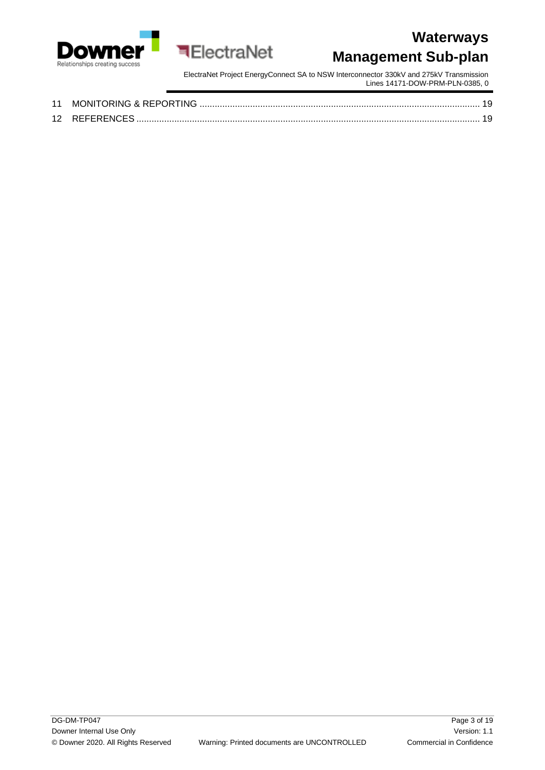

ElectraNet Project EnergyConnect SA to NSW Interconnector 330kV and 275kV Transmission Lines 14171-DOW-PRM-PLN-0385, 0

| 11 | MONITORING & REPORTING |  |
|----|------------------------|--|
|    | 12 REFERENCES          |  |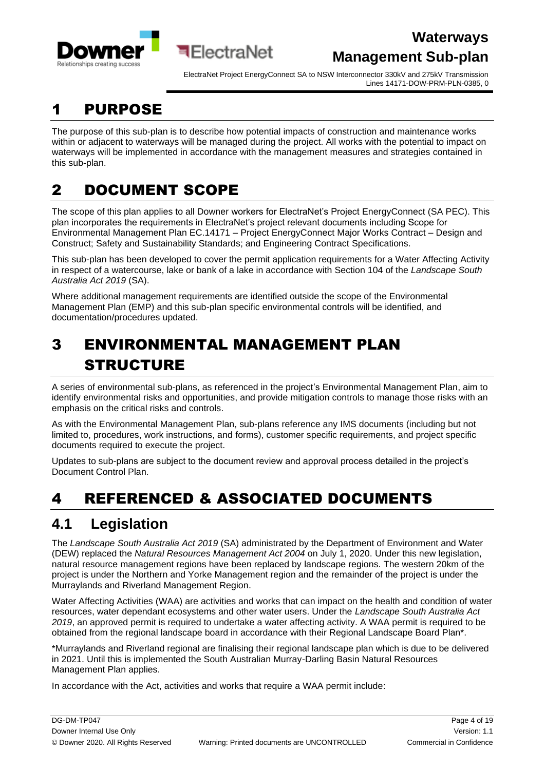



ElectraNet Project EnergyConnect SA to NSW Interconnector 330kV and 275kV Transmission Lines 14171-DOW-PRM-PLN-0385, 0

# <span id="page-3-0"></span>1 PURPOSE

The purpose of this sub-plan is to describe how potential impacts of construction and maintenance works within or adjacent to waterways will be managed during the project. All works with the potential to impact on waterways will be implemented in accordance with the management measures and strategies contained in this sub-plan.

# <span id="page-3-1"></span>2 DOCUMENT SCOPE

The scope of this plan applies to all Downer workers for ElectraNet's Project EnergyConnect (SA PEC). This plan incorporates the requirements in ElectraNet's project relevant documents including Scope for Environmental Management Plan EC.14171 – Project EnergyConnect Major Works Contract – Design and Construct; Safety and Sustainability Standards; and Engineering Contract Specifications.

This sub-plan has been developed to cover the permit application requirements for a Water Affecting Activity in respect of a watercourse, lake or bank of a lake in accordance with Section 104 of the *Landscape South Australia Act 2019* (SA).

Where additional management requirements are identified outside the scope of the Environmental Management Plan (EMP) and this sub-plan specific environmental controls will be identified, and documentation/procedures updated.

# <span id="page-3-2"></span>3 ENVIRONMENTAL MANAGEMENT PLAN STRUCTURE

**बElectraNet** 

A series of environmental sub-plans, as referenced in the project's Environmental Management Plan, aim to identify environmental risks and opportunities, and provide mitigation controls to manage those risks with an emphasis on the critical risks and controls.

As with the Environmental Management Plan, sub-plans reference any IMS documents (including but not limited to, procedures, work instructions, and forms), customer specific requirements, and project specific documents required to execute the project.

Updates to sub-plans are subject to the document review and approval process detailed in the project's Document Control Plan.

# <span id="page-3-3"></span>4 REFERENCED & ASSOCIATED DOCUMENTS

# <span id="page-3-4"></span>**4.1 Legislation**

The *Landscape South Australia Act 2019* (SA) administrated by the Department of Environment and Water (DEW) replaced the *Natural Resources Management Act 2004* on July 1, 2020. Under this new legislation, natural resource management regions have been replaced by landscape regions. The western 20km of the project is under the Northern and Yorke Management region and the remainder of the project is under the Murraylands and Riverland Management Region.

Water Affecting Activities (WAA) are activities and works that can impact on the health and condition of water resources, water dependant ecosystems and other water users. Under the *Landscape South Australia Act 2019*, an approved permit is required to undertake a water affecting activity. A WAA permit is required to be obtained from the regional landscape board in accordance with their Regional Landscape Board Plan\*.

\*Murraylands and Riverland regional are finalising their regional landscape plan which is due to be delivered in 2021. Until this is implemented the South Australian Murray-Darling Basin Natural Resources Management Plan applies.

In accordance with the Act, activities and works that require a WAA permit include: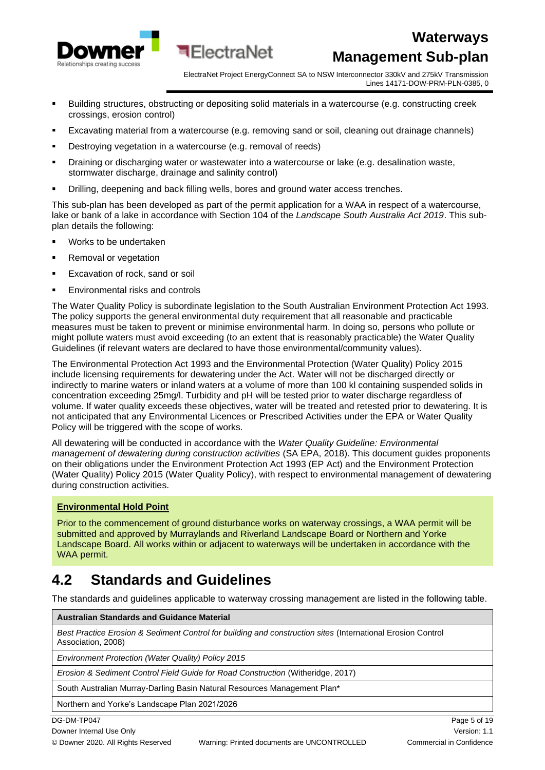

ElectraNet Project EnergyConnect SA to NSW Interconnector 330kV and 275kV Transmission Lines 14171-DOW-PRM-PLN-0385, 0

- Building structures, obstructing or depositing solid materials in a watercourse (e.g. constructing creek crossings, erosion control)
- Excavating material from a watercourse (e.g. removing sand or soil, cleaning out drainage channels)
- **•** Destroying vegetation in a watercourse (e.g. removal of reeds)
- Draining or discharging water or wastewater into a watercourse or lake (e.g. desalination waste, stormwater discharge, drainage and salinity control)
- Drilling, deepening and back filling wells, bores and ground water access trenches.

This sub-plan has been developed as part of the permit application for a WAA in respect of a watercourse, lake or bank of a lake in accordance with Section 104 of the *Landscape South Australia Act 2019*. This subplan details the following:

- Works to be undertaken
- **Removal or vegetation**
- Excavation of rock, sand or soil
- Environmental risks and controls

The Water Quality Policy is subordinate legislation to the South Australian Environment Protection Act 1993. The policy supports the general environmental duty requirement that all reasonable and practicable measures must be taken to prevent or minimise environmental harm. In doing so, persons who pollute or might pollute waters must avoid exceeding (to an extent that is reasonably practicable) the Water Quality Guidelines (if relevant waters are declared to have those environmental/community values).

The Environmental Protection Act 1993 and the Environmental Protection (Water Quality) Policy 2015 include licensing requirements for dewatering under the Act. Water will not be discharged directly or indirectly to marine waters or inland waters at a volume of more than 100 kl containing suspended solids in concentration exceeding 25mg/l. Turbidity and pH will be tested prior to water discharge regardless of volume. If water quality exceeds these objectives, water will be treated and retested prior to dewatering. It is not anticipated that any Environmental Licences or Prescribed Activities under the EPA or Water Quality Policy will be triggered with the scope of works.

All dewatering will be conducted in accordance with the *Water Quality Guideline: Environmental management of dewatering during construction activities* (SA EPA, 2018). This document guides proponents on their obligations under the Environment Protection Act 1993 (EP Act) and the Environment Protection (Water Quality) Policy 2015 (Water Quality Policy), with respect to environmental management of dewatering during construction activities.

#### **Environmental Hold Point**

Prior to the commencement of ground disturbance works on waterway crossings, a WAA permit will be submitted and approved by Murraylands and Riverland Landscape Board or Northern and Yorke Landscape Board. All works within or adjacent to waterways will be undertaken in accordance with the WAA permit.

### <span id="page-4-0"></span>**4.2 Standards and Guidelines**

The standards and guidelines applicable to waterway crossing management are listed in the following table.

**Australian Standards and Guidance Material**

*Best Practice Erosion & Sediment Control for building and construction sites* (International Erosion Control Association, 2008)

*Environment Protection (Water Quality) Policy 2015*

*Erosion & Sediment Control Field Guide for Road Construction* (Witheridge, 2017)

South Australian Murray-Darling Basin Natural Resources Management Plan\*

Northern and Yorke's Landscape Plan 2021/2026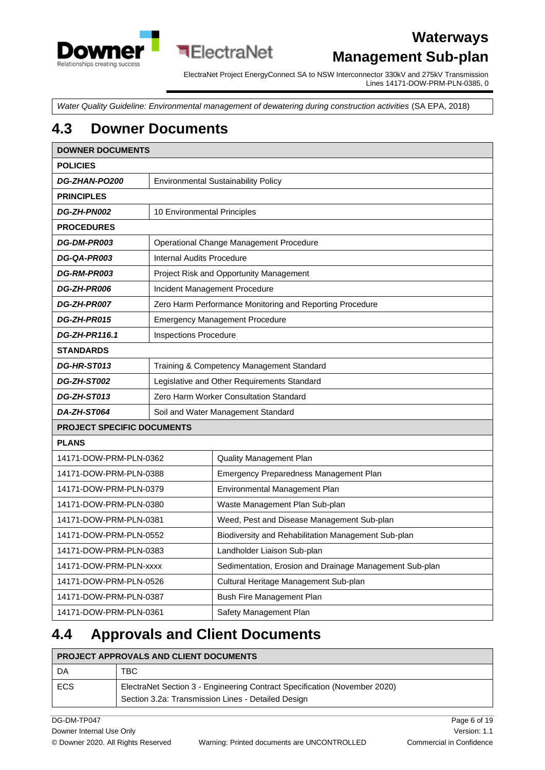

ElectraNet Project EnergyConnect SA to NSW Interconnector 330kV and 275kV Transmission Lines 14171-DOW-PRM-PLN-0385, 0

*Water Quality Guideline: Environmental management of dewatering during construction activities* (SA EPA, 2018)

### <span id="page-5-0"></span>**4.3 Downer Documents**

| <b>DOWNER DOCUMENTS</b>                               |                                            |                                                          |
|-------------------------------------------------------|--------------------------------------------|----------------------------------------------------------|
| <b>POLICIES</b>                                       |                                            |                                                          |
| DG-ZHAN-PO200                                         | <b>Environmental Sustainability Policy</b> |                                                          |
| <b>PRINCIPLES</b>                                     |                                            |                                                          |
| DG-ZH-PN002                                           | 10 Environmental Principles                |                                                          |
| <b>PROCEDURES</b>                                     |                                            |                                                          |
| DG-DM-PR003                                           |                                            | Operational Change Management Procedure                  |
| DG-QA-PR003                                           | <b>Internal Audits Procedure</b>           |                                                          |
| DG-RM-PR003                                           |                                            | Project Risk and Opportunity Management                  |
| DG-ZH-PR006                                           |                                            | Incident Management Procedure                            |
| DG-ZH-PR007                                           |                                            | Zero Harm Performance Monitoring and Reporting Procedure |
| DG-ZH-PR015                                           |                                            | <b>Emergency Management Procedure</b>                    |
| <b>DG-ZH-PR116.1</b>                                  | <b>Inspections Procedure</b>               |                                                          |
| <b>STANDARDS</b>                                      |                                            |                                                          |
| <b>DG-HR-ST013</b>                                    |                                            | Training & Competency Management Standard                |
| DG-ZH-ST002                                           |                                            | Legislative and Other Requirements Standard              |
| Zero Harm Worker Consultation Standard<br>DG-ZH-ST013 |                                            |                                                          |
| DA-ZH-ST064                                           | Soil and Water Management Standard         |                                                          |
| <b>PROJECT SPECIFIC DOCUMENTS</b>                     |                                            |                                                          |
| <b>PLANS</b>                                          |                                            |                                                          |
| 14171-DOW-PRM-PLN-0362                                |                                            | <b>Quality Management Plan</b>                           |
| 14171-DOW-PRM-PLN-0388                                |                                            | Emergency Preparedness Management Plan                   |
| 14171-DOW-PRM-PLN-0379                                |                                            | Environmental Management Plan                            |
| 14171-DOW-PRM-PLN-0380                                |                                            | Waste Management Plan Sub-plan                           |
| 14171-DOW-PRM-PLN-0381                                |                                            | Weed, Pest and Disease Management Sub-plan               |
| 14171-DOW-PRM-PLN-0552                                |                                            | Biodiversity and Rehabilitation Management Sub-plan      |
| 14171-DOW-PRM-PLN-0383                                |                                            | Landholder Liaison Sub-plan                              |
| 14171-DOW-PRM-PLN-xxxx                                |                                            | Sedimentation, Erosion and Drainage Management Sub-plan  |
| 14171-DOW-PRM-PLN-0526                                |                                            | Cultural Heritage Management Sub-plan                    |
| 14171-DOW-PRM-PLN-0387                                |                                            | Bush Fire Management Plan                                |
| 14171-DOW-PRM-PLN-0361                                |                                            | Safety Management Plan                                   |

### <span id="page-5-1"></span>**4.4 Approvals and Client Documents**

| <b>PROJECT APPROVALS AND CLIENT DOCUMENTS</b> |                                                                                                                                 |
|-----------------------------------------------|---------------------------------------------------------------------------------------------------------------------------------|
| DA                                            | TBC                                                                                                                             |
| ECS                                           | ElectraNet Section 3 - Engineering Contract Specification (November 2020)<br>Section 3.2a: Transmission Lines - Detailed Design |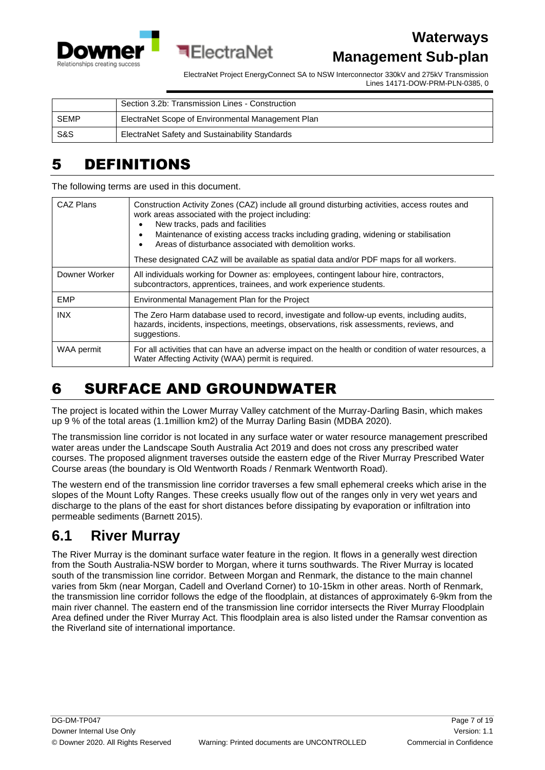



ElectraNet Project EnergyConnect SA to NSW Interconnector 330kV and 275kV Transmission Lines 14171-DOW-PRM-PLN-0385, 0

|             | Section 3.2b: Transmission Lines - Construction   |
|-------------|---------------------------------------------------|
| <b>SEMP</b> | ElectraNet Scope of Environmental Management Plan |
| S&S         | ElectraNet Safety and Sustainability Standards    |

### <span id="page-6-0"></span>5 DEFINITIONS

The following terms are used in this document.

| CAZ Plans     | Construction Activity Zones (CAZ) include all ground disturbing activities, access routes and<br>work areas associated with the project including:<br>New tracks, pads and facilities<br>Maintenance of existing access tracks including grading, widening or stabilisation<br>Areas of disturbance associated with demolition works. |
|---------------|---------------------------------------------------------------------------------------------------------------------------------------------------------------------------------------------------------------------------------------------------------------------------------------------------------------------------------------|
|               | These designated CAZ will be available as spatial data and/or PDF maps for all workers.                                                                                                                                                                                                                                               |
| Downer Worker | All individuals working for Downer as: employees, contingent labour hire, contractors,<br>subcontractors, apprentices, trainees, and work experience students.                                                                                                                                                                        |
| <b>EMP</b>    | Environmental Management Plan for the Project                                                                                                                                                                                                                                                                                         |
| <b>INX</b>    | The Zero Harm database used to record, investigate and follow-up events, including audits,<br>hazards, incidents, inspections, meetings, observations, risk assessments, reviews, and<br>suggestions.                                                                                                                                 |
| WAA permit    | For all activities that can have an adverse impact on the health or condition of water resources, a<br>Water Affecting Activity (WAA) permit is required.                                                                                                                                                                             |

# <span id="page-6-1"></span>6 SURFACE AND GROUNDWATER

The project is located within the Lower Murray Valley catchment of the Murray-Darling Basin, which makes up 9 % of the total areas (1.1million km2) of the Murray Darling Basin (MDBA 2020).

The transmission line corridor is not located in any surface water or water resource management prescribed water areas under the Landscape South Australia Act 2019 and does not cross any prescribed water courses. The proposed alignment traverses outside the eastern edge of the River Murray Prescribed Water Course areas (the boundary is Old Wentworth Roads / Renmark Wentworth Road).

The western end of the transmission line corridor traverses a few small ephemeral creeks which arise in the slopes of the Mount Lofty Ranges. These creeks usually flow out of the ranges only in very wet years and discharge to the plans of the east for short distances before dissipating by evaporation or infiltration into permeable sediments (Barnett 2015).

# <span id="page-6-2"></span>**6.1 River Murray**

The River Murray is the dominant surface water feature in the region. It flows in a generally west direction from the South Australia-NSW border to Morgan, where it turns southwards. The River Murray is located south of the transmission line corridor. Between Morgan and Renmark, the distance to the main channel varies from 5km (near Morgan, Cadell and Overland Corner) to 10-15km in other areas. North of Renmark, the transmission line corridor follows the edge of the floodplain, at distances of approximately 6-9km from the main river channel. The eastern end of the transmission line corridor intersects the River Murray Floodplain Area defined under the River Murray Act. This floodplain area is also listed under the Ramsar convention as the Riverland site of international importance.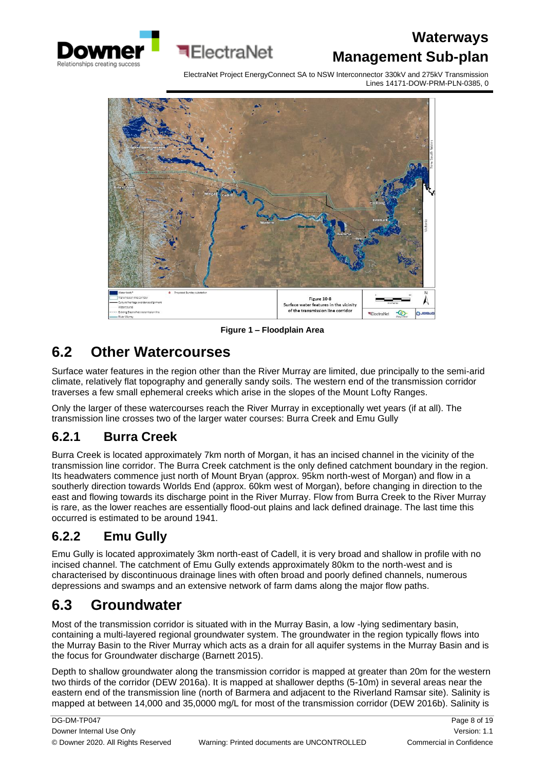

ElectraNet Project EnergyConnect SA to NSW Interconnector 330kV and 275kV Transmission Lines 14171-DOW-PRM-PLN-0385, 0



**Figure 1 – Floodplain Area**

# <span id="page-7-0"></span>**6.2 Other Watercourses**

Surface water features in the region other than the River Murray are limited, due principally to the semi-arid climate, relatively flat topography and generally sandy soils. The western end of the transmission corridor traverses a few small ephemeral creeks which arise in the slopes of the Mount Lofty Ranges.

Only the larger of these watercourses reach the River Murray in exceptionally wet years (if at all). The transmission line crosses two of the larger water courses: Burra Creek and Emu Gully

### <span id="page-7-1"></span>**6.2.1 Burra Creek**

Burra Creek is located approximately 7km north of Morgan, it has an incised channel in the vicinity of the transmission line corridor. The Burra Creek catchment is the only defined catchment boundary in the region. Its headwaters commence just north of Mount Bryan (approx. 95km north-west of Morgan) and flow in a southerly direction towards Worlds End (approx. 60km west of Morgan), before changing in direction to the east and flowing towards its discharge point in the River Murray. Flow from Burra Creek to the River Murray is rare, as the lower reaches are essentially flood-out plains and lack defined drainage. The last time this occurred is estimated to be around 1941.

### <span id="page-7-2"></span>**6.2.2 Emu Gully**

Emu Gully is located approximately 3km north-east of Cadell, it is very broad and shallow in profile with no incised channel. The catchment of Emu Gully extends approximately 80km to the north-west and is characterised by discontinuous drainage lines with often broad and poorly defined channels, numerous depressions and swamps and an extensive network of farm dams along the major flow paths.

# <span id="page-7-3"></span>**6.3 Groundwater**

Most of the transmission corridor is situated with in the Murray Basin, a low -lying sedimentary basin, containing a multi-layered regional groundwater system. The groundwater in the region typically flows into the Murray Basin to the River Murray which acts as a drain for all aquifer systems in the Murray Basin and is the focus for Groundwater discharge (Barnett 2015).

Depth to shallow groundwater along the transmission corridor is mapped at greater than 20m for the western two thirds of the corridor (DEW 2016a). It is mapped at shallower depths (5-10m) in several areas near the eastern end of the transmission line (north of Barmera and adjacent to the Riverland Ramsar site). Salinity is mapped at between 14,000 and 35,0000 mg/L for most of the transmission corridor (DEW 2016b). Salinity is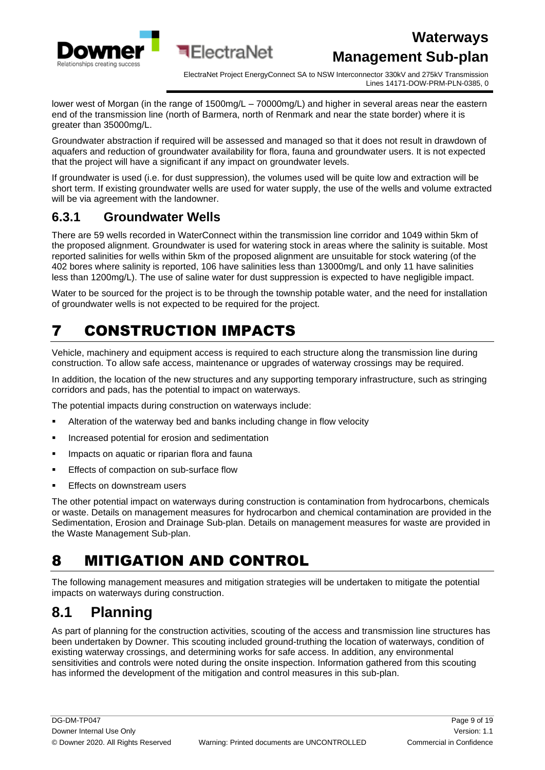

ElectraNet Project EnergyConnect SA to NSW Interconnector 330kV and 275kV Transmission Lines 14171-DOW-PRM-PLN-0385, 0

lower west of Morgan (in the range of 1500mg/L – 70000mg/L) and higher in several areas near the eastern end of the transmission line (north of Barmera, north of Renmark and near the state border) where it is greater than 35000mg/L.

Groundwater abstraction if required will be assessed and managed so that it does not result in drawdown of aquafers and reduction of groundwater availability for flora, fauna and groundwater users. It is not expected that the project will have a significant if any impact on groundwater levels.

If groundwater is used (i.e. for dust suppression), the volumes used will be quite low and extraction will be short term. If existing groundwater wells are used for water supply, the use of the wells and volume extracted will be via agreement with the landowner.

#### <span id="page-8-0"></span>**6.3.1 Groundwater Wells**

There are 59 wells recorded in WaterConnect within the transmission line corridor and 1049 within 5km of the proposed alignment. Groundwater is used for watering stock in areas where the salinity is suitable. Most reported salinities for wells within 5km of the proposed alignment are unsuitable for stock watering (of the 402 bores where salinity is reported, 106 have salinities less than 13000mg/L and only 11 have salinities less than 1200mg/L). The use of saline water for dust suppression is expected to have negligible impact.

Water to be sourced for the project is to be through the township potable water, and the need for installation of groundwater wells is not expected to be required for the project.

# <span id="page-8-1"></span>7 CONSTRUCTION IMPACTS

Vehicle, machinery and equipment access is required to each structure along the transmission line during construction. To allow safe access, maintenance or upgrades of waterway crossings may be required.

In addition, the location of the new structures and any supporting temporary infrastructure, such as stringing corridors and pads, has the potential to impact on waterways.

The potential impacts during construction on waterways include:

- Alteration of the waterway bed and banks including change in flow velocity
- Increased potential for erosion and sedimentation
- **·** Impacts on aquatic or riparian flora and fauna
- Effects of compaction on sub-surface flow
- Effects on downstream users

The other potential impact on waterways during construction is contamination from hydrocarbons, chemicals or waste. Details on management measures for hydrocarbon and chemical contamination are provided in the Sedimentation, Erosion and Drainage Sub-plan. Details on management measures for waste are provided in the Waste Management Sub-plan.

# <span id="page-8-2"></span>8 MITIGATION AND CONTROL

The following management measures and mitigation strategies will be undertaken to mitigate the potential impacts on waterways during construction.

### <span id="page-8-3"></span>**8.1 Planning**

As part of planning for the construction activities, scouting of the access and transmission line structures has been undertaken by Downer. This scouting included ground-truthing the location of waterways, condition of existing waterway crossings, and determining works for safe access. In addition, any environmental sensitivities and controls were noted during the onsite inspection. Information gathered from this scouting has informed the development of the mitigation and control measures in this sub-plan.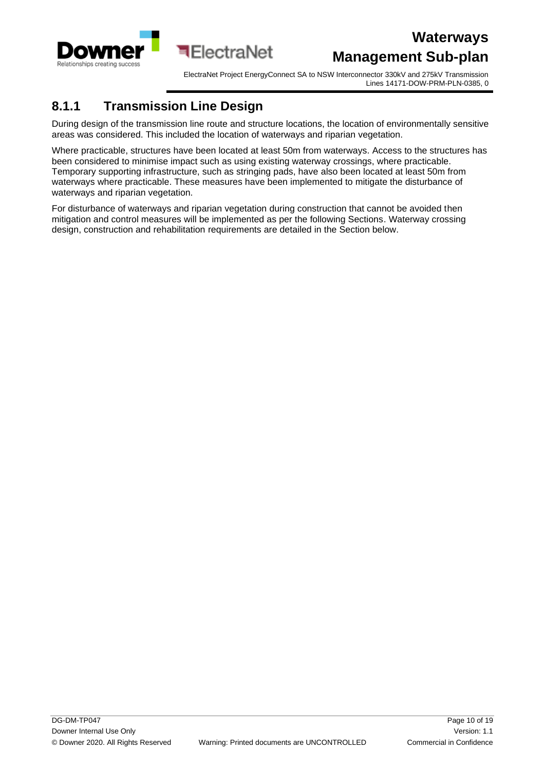

ElectraNet Project EnergyConnect SA to NSW Interconnector 330kV and 275kV Transmission Lines 14171-DOW-PRM-PLN-0385, 0

#### <span id="page-9-0"></span>**8.1.1 Transmission Line Design**

During design of the transmission line route and structure locations, the location of environmentally sensitive areas was considered. This included the location of waterways and riparian vegetation.

Where practicable, structures have been located at least 50m from waterways. Access to the structures has been considered to minimise impact such as using existing waterway crossings, where practicable. Temporary supporting infrastructure, such as stringing pads, have also been located at least 50m from waterways where practicable. These measures have been implemented to mitigate the disturbance of waterways and riparian vegetation.

For disturbance of waterways and riparian vegetation during construction that cannot be avoided then mitigation and control measures will be implemented as per the following Sections. Waterway crossing design, construction and rehabilitation requirements are detailed in the Section below.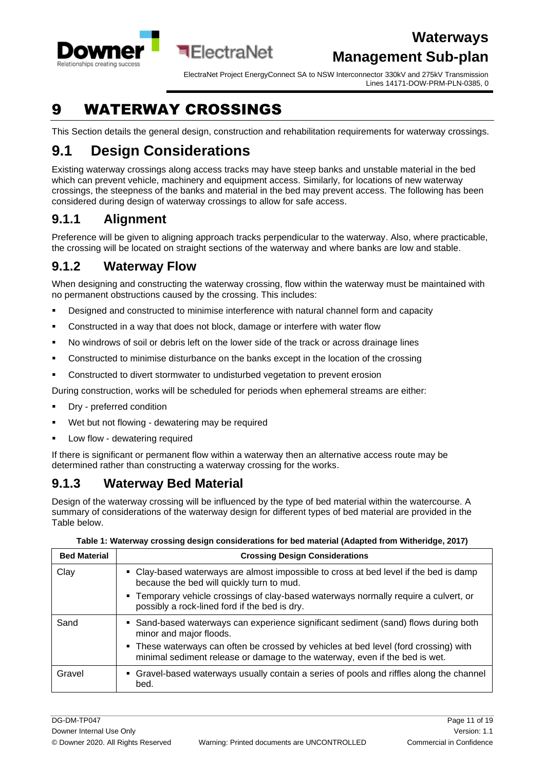

ElectraNet Project EnergyConnect SA to NSW Interconnector 330kV and 275kV Transmission Lines 14171-DOW-PRM-PLN-0385, 0

# <span id="page-10-0"></span>9 WATERWAY CROSSINGS

This Section details the general design, construction and rehabilitation requirements for waterway crossings.

**E** FlectraNet

# <span id="page-10-1"></span>**9.1 Design Considerations**

Existing waterway crossings along access tracks may have steep banks and unstable material in the bed which can prevent vehicle, machinery and equipment access. Similarly, for locations of new waterway crossings, the steepness of the banks and material in the bed may prevent access. The following has been considered during design of waterway crossings to allow for safe access.

### <span id="page-10-2"></span>**9.1.1 Alignment**

Preference will be given to aligning approach tracks perpendicular to the waterway. Also, where practicable, the crossing will be located on straight sections of the waterway and where banks are low and stable.

#### <span id="page-10-3"></span>**9.1.2 Waterway Flow**

When designing and constructing the waterway crossing, flow within the waterway must be maintained with no permanent obstructions caused by the crossing. This includes:

- Designed and constructed to minimise interference with natural channel form and capacity
- Constructed in a way that does not block, damage or interfere with water flow
- No windrows of soil or debris left on the lower side of the track or across drainage lines
- Constructed to minimise disturbance on the banks except in the location of the crossing
- Constructed to divert stormwater to undisturbed vegetation to prevent erosion

During construction, works will be scheduled for periods when ephemeral streams are either:

- Dry preferred condition
- Wet but not flowing dewatering may be required
- Low flow dewatering required

If there is significant or permanent flow within a waterway then an alternative access route may be determined rather than constructing a waterway crossing for the works.

#### <span id="page-10-4"></span>**9.1.3 Waterway Bed Material**

Design of the waterway crossing will be influenced by the type of bed material within the watercourse. A summary of considerations of the waterway design for different types of bed material are provided in the Table below.

| <b>Bed Material</b> | <b>Crossing Design Considerations</b>                                                                                                                               |
|---------------------|---------------------------------------------------------------------------------------------------------------------------------------------------------------------|
| Clay                | • Clay-based waterways are almost impossible to cross at bed level if the bed is damp<br>because the bed will quickly turn to mud.                                  |
|                     | • Temporary vehicle crossings of clay-based waterways normally require a culvert, or<br>possibly a rock-lined ford if the bed is dry.                               |
| Sand                | • Sand-based waterways can experience significant sediment (sand) flows during both<br>minor and major floods.                                                      |
|                     | • These waterways can often be crossed by vehicles at bed level (ford crossing) with<br>minimal sediment release or damage to the waterway, even if the bed is wet. |
| Gravel              | • Gravel-based waterways usually contain a series of pools and riffles along the channel<br>bed.                                                                    |

**Table 1: Waterway crossing design considerations for bed material (Adapted from Witheridge, 2017)**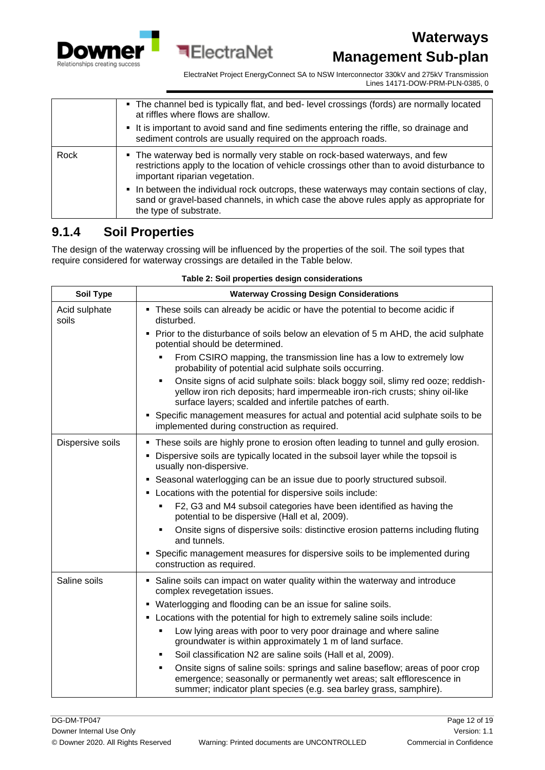

ElectraNet Project EnergyConnect SA to NSW Interconnector 330kV and 275kV Transmission Lines 14171-DOW-PRM-PLN-0385, 0

|      | • The channel bed is typically flat, and bed-level crossings (fords) are normally located<br>at riffles where flows are shallow.                                                                            |
|------|-------------------------------------------------------------------------------------------------------------------------------------------------------------------------------------------------------------|
|      | It is important to avoid sand and fine sediments entering the riffle, so drainage and<br>sediment controls are usually required on the approach roads.                                                      |
| Rock | • The waterway bed is normally very stable on rock-based waterways, and few<br>restrictions apply to the location of vehicle crossings other than to avoid disturbance to<br>important riparian vegetation. |
|      | • In between the individual rock outcrops, these waterways may contain sections of clay,<br>sand or gravel-based channels, in which case the above rules apply as appropriate for<br>the type of substrate. |

**ElectraNet** 

#### <span id="page-11-0"></span>**9.1.4 Soil Properties**

The design of the waterway crossing will be influenced by the properties of the soil. The soil types that require considered for waterway crossings are detailed in the Table below.

| <b>Soil Type</b>       | <b>Waterway Crossing Design Considerations</b>                                                                                                                                                                                               |
|------------------------|----------------------------------------------------------------------------------------------------------------------------------------------------------------------------------------------------------------------------------------------|
| Acid sulphate<br>soils | • These soils can already be acidic or have the potential to become acidic if<br>disturbed.                                                                                                                                                  |
|                        | • Prior to the disturbance of soils below an elevation of 5 m AHD, the acid sulphate<br>potential should be determined.                                                                                                                      |
|                        | From CSIRO mapping, the transmission line has a low to extremely low<br>probability of potential acid sulphate soils occurring.                                                                                                              |
|                        | Onsite signs of acid sulphate soils: black boggy soil, slimy red ooze; reddish-<br>$\blacksquare$<br>yellow iron rich deposits; hard impermeable iron-rich crusts; shiny oil-like<br>surface layers; scalded and infertile patches of earth. |
|                        | Specific management measures for actual and potential acid sulphate soils to be<br>implemented during construction as required.                                                                                                              |
| Dispersive soils       | . These soils are highly prone to erosion often leading to tunnel and gully erosion.                                                                                                                                                         |
|                        | Dispersive soils are typically located in the subsoil layer while the topsoil is<br>usually non-dispersive.                                                                                                                                  |
|                        | • Seasonal waterlogging can be an issue due to poorly structured subsoil.                                                                                                                                                                    |
|                        | • Locations with the potential for dispersive soils include:                                                                                                                                                                                 |
|                        | F2, G3 and M4 subsoil categories have been identified as having the<br>٠<br>potential to be dispersive (Hall et al, 2009).                                                                                                                   |
|                        | Onsite signs of dispersive soils: distinctive erosion patterns including fluting<br>٠<br>and tunnels.                                                                                                                                        |
|                        | Specific management measures for dispersive soils to be implemented during<br>٠<br>construction as required.                                                                                                                                 |
| Saline soils           | • Saline soils can impact on water quality within the waterway and introduce<br>complex revegetation issues.                                                                                                                                 |
|                        | • Waterlogging and flooding can be an issue for saline soils.                                                                                                                                                                                |
|                        | • Locations with the potential for high to extremely saline soils include:                                                                                                                                                                   |
|                        | Low lying areas with poor to very poor drainage and where saline<br>groundwater is within approximately 1 m of land surface.                                                                                                                 |
|                        | Soil classification N2 are saline soils (Hall et al, 2009).<br>٠                                                                                                                                                                             |
|                        | Onsite signs of saline soils: springs and saline baseflow; areas of poor crop<br>٠<br>emergence; seasonally or permanently wet areas; salt efflorescence in<br>summer; indicator plant species (e.g. sea barley grass, samphire).            |

#### **Table 2: Soil properties design considerations**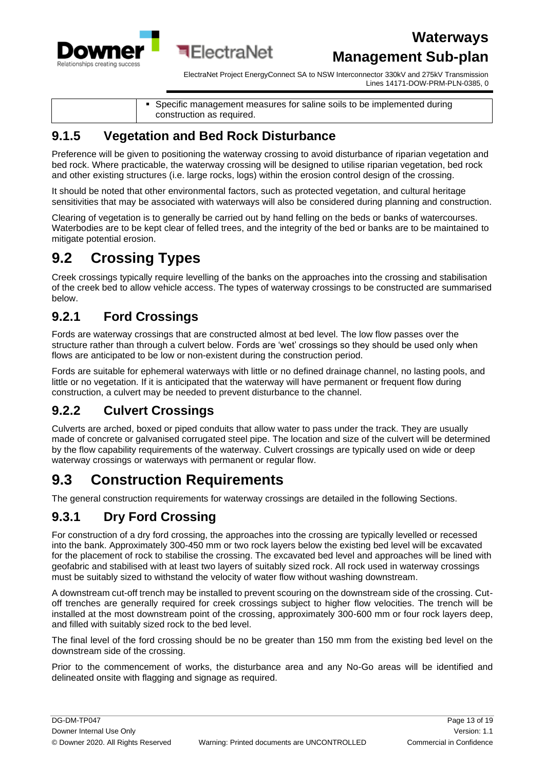

ElectraNet Project EnergyConnect SA to NSW Interconnector 330kV and 275kV Transmission Lines 14171-DOW-PRM-PLN-0385, 0

| • Specific management measures for saline soils to be implemented during<br>construction as required. |
|-------------------------------------------------------------------------------------------------------|
|-------------------------------------------------------------------------------------------------------|

#### <span id="page-12-0"></span>**9.1.5 Vegetation and Bed Rock Disturbance**

¶FlectraNet

Preference will be given to positioning the waterway crossing to avoid disturbance of riparian vegetation and bed rock. Where practicable, the waterway crossing will be designed to utilise riparian vegetation, bed rock and other existing structures (i.e. large rocks, logs) within the erosion control design of the crossing.

It should be noted that other environmental factors, such as protected vegetation, and cultural heritage sensitivities that may be associated with waterways will also be considered during planning and construction.

Clearing of vegetation is to generally be carried out by hand felling on the beds or banks of watercourses. Waterbodies are to be kept clear of felled trees, and the integrity of the bed or banks are to be maintained to mitigate potential erosion.

# <span id="page-12-1"></span>**9.2 Crossing Types**

Creek crossings typically require levelling of the banks on the approaches into the crossing and stabilisation of the creek bed to allow vehicle access. The types of waterway crossings to be constructed are summarised below.

### <span id="page-12-2"></span>**9.2.1 Ford Crossings**

Fords are waterway crossings that are constructed almost at bed level. The low flow passes over the structure rather than through a culvert below. Fords are 'wet' crossings so they should be used only when flows are anticipated to be low or non-existent during the construction period.

Fords are suitable for ephemeral waterways with little or no defined drainage channel, no lasting pools, and little or no vegetation. If it is anticipated that the waterway will have permanent or frequent flow during construction, a culvert may be needed to prevent disturbance to the channel.

#### <span id="page-12-3"></span>**9.2.2 Culvert Crossings**

Culverts are arched, boxed or piped conduits that allow water to pass under the track. They are usually made of concrete or galvanised corrugated steel pipe. The location and size of the culvert will be determined by the flow capability requirements of the waterway. Culvert crossings are typically used on wide or deep waterway crossings or waterways with permanent or regular flow.

# <span id="page-12-4"></span>**9.3 Construction Requirements**

The general construction requirements for waterway crossings are detailed in the following Sections.

### <span id="page-12-5"></span>**9.3.1 Dry Ford Crossing**

For construction of a dry ford crossing, the approaches into the crossing are typically levelled or recessed into the bank. Approximately 300-450 mm or two rock layers below the existing bed level will be excavated for the placement of rock to stabilise the crossing. The excavated bed level and approaches will be lined with geofabric and stabilised with at least two layers of suitably sized rock. All rock used in waterway crossings must be suitably sized to withstand the velocity of water flow without washing downstream.

A downstream cut-off trench may be installed to prevent scouring on the downstream side of the crossing. Cutoff trenches are generally required for creek crossings subject to higher flow velocities. The trench will be installed at the most downstream point of the crossing, approximately 300-600 mm or four rock layers deep, and filled with suitably sized rock to the bed level.

The final level of the ford crossing should be no be greater than 150 mm from the existing bed level on the downstream side of the crossing.

Prior to the commencement of works, the disturbance area and any No-Go areas will be identified and delineated onsite with flagging and signage as required.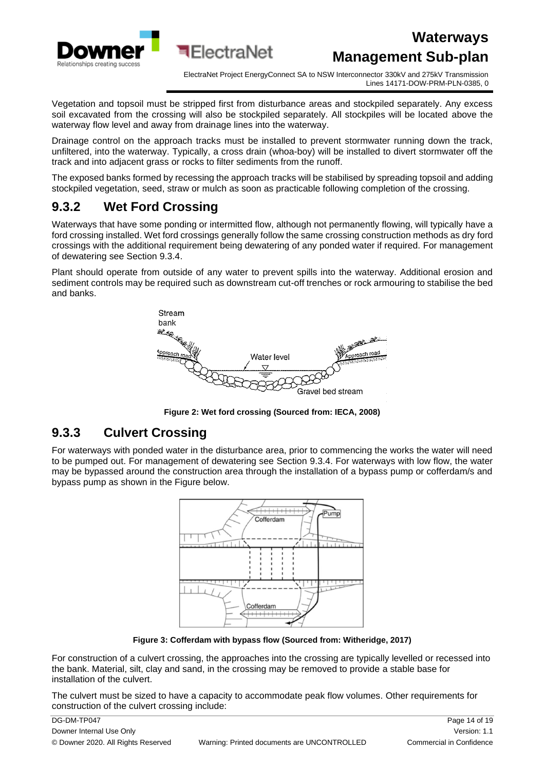

ElectraNet Project EnergyConnect SA to NSW Interconnector 330kV and 275kV Transmission Lines 14171-DOW-PRM-PLN-0385, 0

Vegetation and topsoil must be stripped first from disturbance areas and stockpiled separately. Any excess soil excavated from the crossing will also be stockpiled separately. All stockpiles will be located above the waterway flow level and away from drainage lines into the waterway.

Drainage control on the approach tracks must be installed to prevent stormwater running down the track, unfiltered, into the waterway. Typically, a cross drain (whoa-boy) will be installed to divert stormwater off the track and into adjacent grass or rocks to filter sediments from the runoff.

The exposed banks formed by recessing the approach tracks will be stabilised by spreading topsoil and adding stockpiled vegetation, seed, straw or mulch as soon as practicable following completion of the crossing.

### <span id="page-13-0"></span>**9.3.2 Wet Ford Crossing**

Waterways that have some ponding or intermitted flow, although not permanently flowing, will typically have a ford crossing installed. Wet ford crossings generally follow the same crossing construction methods as dry ford crossings with the additional requirement being dewatering of any ponded water if required. For management of dewatering see Section [9.3.4.](#page-15-0)

Plant should operate from outside of any water to prevent spills into the waterway. Additional erosion and sediment controls may be required such as downstream cut-off trenches or rock armouring to stabilise the bed and banks.



**Figure 2: Wet ford crossing (Sourced from: IECA, 2008)**

#### <span id="page-13-1"></span>**9.3.3 Culvert Crossing**

For waterways with ponded water in the disturbance area, prior to commencing the works the water will need to be pumped out. For management of dewatering see Section [9.3.4.](#page-15-0) For waterways with low flow, the water may be bypassed around the construction area through the installation of a bypass pump or cofferdam/s and bypass pump as shown in the Figure below.



**Figure 3: Cofferdam with bypass flow (Sourced from: Witheridge, 2017)**

For construction of a culvert crossing, the approaches into the crossing are typically levelled or recessed into the bank. Material, silt, clay and sand, in the crossing may be removed to provide a stable base for installation of the culvert.

The culvert must be sized to have a capacity to accommodate peak flow volumes. Other requirements for construction of the culvert crossing include:

| DG-DM-TP047                        |                                             | Page 14 of 19            |
|------------------------------------|---------------------------------------------|--------------------------|
| Downer Internal Use Only           |                                             | Version: 1.1             |
| © Downer 2020. All Rights Reserved | Warning: Printed documents are UNCONTROLLED | Commercial in Confidence |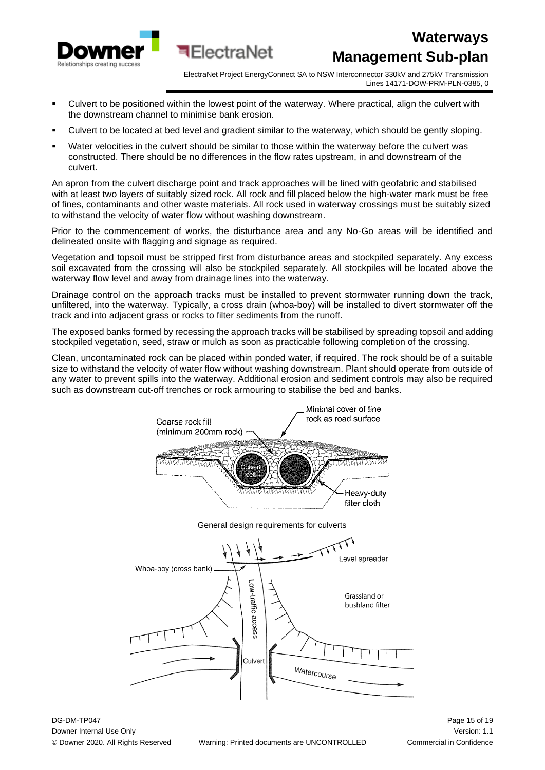

ElectraNet Project EnergyConnect SA to NSW Interconnector 330kV and 275kV Transmission Lines 14171-DOW-PRM-PLN-0385, 0

Culvert to be positioned within the lowest point of the waterway. Where practical, align the culvert with the downstream channel to minimise bank erosion.

∎FlectraNet

- Culvert to be located at bed level and gradient similar to the waterway, which should be gently sloping.
- Water velocities in the culvert should be similar to those within the waterway before the culvert was constructed. There should be no differences in the flow rates upstream, in and downstream of the culvert.

An apron from the culvert discharge point and track approaches will be lined with geofabric and stabilised with at least two layers of suitably sized rock. All rock and fill placed below the high-water mark must be free of fines, contaminants and other waste materials. All rock used in waterway crossings must be suitably sized to withstand the velocity of water flow without washing downstream.

Prior to the commencement of works, the disturbance area and any No-Go areas will be identified and delineated onsite with flagging and signage as required.

Vegetation and topsoil must be stripped first from disturbance areas and stockpiled separately. Any excess soil excavated from the crossing will also be stockpiled separately. All stockpiles will be located above the waterway flow level and away from drainage lines into the waterway.

Drainage control on the approach tracks must be installed to prevent stormwater running down the track, unfiltered, into the waterway. Typically, a cross drain (whoa-boy) will be installed to divert stormwater off the track and into adjacent grass or rocks to filter sediments from the runoff.

The exposed banks formed by recessing the approach tracks will be stabilised by spreading topsoil and adding stockpiled vegetation, seed, straw or mulch as soon as practicable following completion of the crossing.

Clean, uncontaminated rock can be placed within ponded water, if required. The rock should be of a suitable size to withstand the velocity of water flow without washing downstream. Plant should operate from outside of any water to prevent spills into the waterway. Additional erosion and sediment controls may also be required such as downstream cut-off trenches or rock armouring to stabilise the bed and banks.

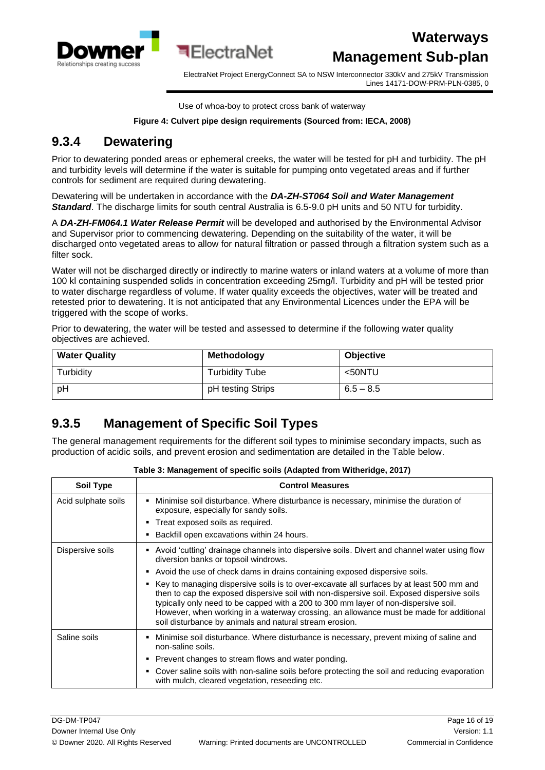

ElectraNet Project EnergyConnect SA to NSW Interconnector 330kV and 275kV Transmission Lines 14171-DOW-PRM-PLN-0385, 0

Use of whoa-boy to protect cross bank of waterway

#### **Figure 4: Culvert pipe design requirements (Sourced from: IECA, 2008)**

#### <span id="page-15-0"></span>**9.3.4 Dewatering**

Prior to dewatering ponded areas or ephemeral creeks, the water will be tested for pH and turbidity. The pH and turbidity levels will determine if the water is suitable for pumping onto vegetated areas and if further controls for sediment are required during dewatering.

Dewatering will be undertaken in accordance with the *DA-ZH-ST064 Soil and Water Management Standard*. The discharge limits for south central Australia is 6.5-9.0 pH units and 50 NTU for turbidity.

A *DA-ZH-FM064.1 Water Release Permit* will be developed and authorised by the Environmental Advisor and Supervisor prior to commencing dewatering. Depending on the suitability of the water, it will be discharged onto vegetated areas to allow for natural filtration or passed through a filtration system such as a filter sock.

Water will not be discharged directly or indirectly to marine waters or inland waters at a volume of more than 100 kl containing suspended solids in concentration exceeding 25mg/l. Turbidity and pH will be tested prior to water discharge regardless of volume. If water quality exceeds the objectives, water will be treated and retested prior to dewatering. It is not anticipated that any Environmental Licences under the EPA will be triggered with the scope of works.

Prior to dewatering, the water will be tested and assessed to determine if the following water quality objectives are achieved.

| <b>Water Quality</b> | <b>Methodology</b>    | <b>Objective</b> |  |
|----------------------|-----------------------|------------------|--|
| Turbidity            | <b>Turbidity Tube</b> | <50NTU           |  |
| pH                   | pH testing Strips     | $6.5 - 8.5$      |  |

#### <span id="page-15-1"></span>**9.3.5 Management of Specific Soil Types**

The general management requirements for the different soil types to minimise secondary impacts, such as production of acidic soils, and prevent erosion and sedimentation are detailed in the Table below.

| <b>Soil Type</b>    | <b>Control Measures</b>                                                                                                                                                                                                                                                                                                                                                                                                                                                                                                                                                                                                                                              |  |  |  |
|---------------------|----------------------------------------------------------------------------------------------------------------------------------------------------------------------------------------------------------------------------------------------------------------------------------------------------------------------------------------------------------------------------------------------------------------------------------------------------------------------------------------------------------------------------------------------------------------------------------------------------------------------------------------------------------------------|--|--|--|
| Acid sulphate soils | Minimise soil disturbance. Where disturbance is necessary, minimise the duration of<br>٠<br>exposure, especially for sandy soils.<br>• Treat exposed soils as required.<br>Backfill open excavations within 24 hours.                                                                                                                                                                                                                                                                                                                                                                                                                                                |  |  |  |
| Dispersive soils    | Avoid 'cutting' drainage channels into dispersive soils. Divert and channel water using flow<br>٠<br>diversion banks or topsoil windrows.<br>• Avoid the use of check dams in drains containing exposed dispersive soils.<br>Key to managing dispersive soils is to over-excavate all surfaces by at least 500 mm and<br>٠<br>then to cap the exposed dispersive soil with non-dispersive soil. Exposed dispersive soils<br>typically only need to be capped with a 200 to 300 mm layer of non-dispersive soil.<br>However, when working in a waterway crossing, an allowance must be made for additional<br>soil disturbance by animals and natural stream erosion. |  |  |  |
| Saline soils        | Minimise soil disturbance. Where disturbance is necessary, prevent mixing of saline and<br>non-saline soils.<br>• Prevent changes to stream flows and water ponding.<br>Cover saline soils with non-saline soils before protecting the soil and reducing evaporation<br>٠<br>with mulch, cleared vegetation, reseeding etc.                                                                                                                                                                                                                                                                                                                                          |  |  |  |

#### **Table 3: Management of specific soils (Adapted from Witheridge, 2017)**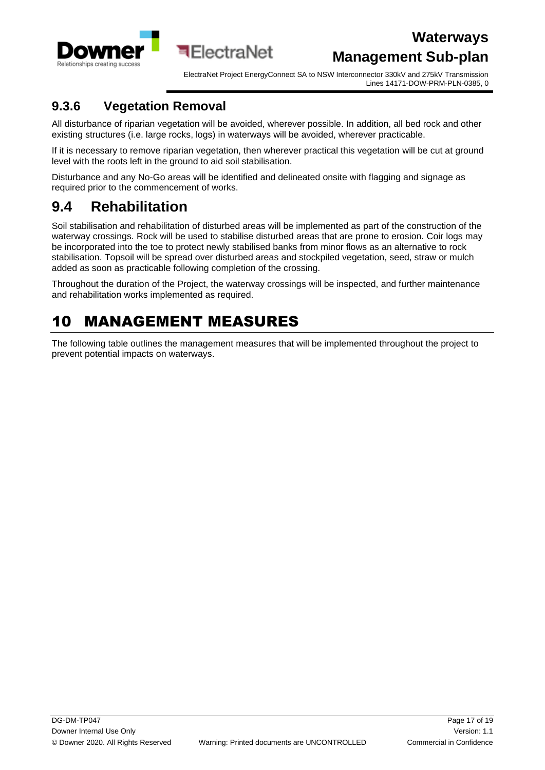

ElectraNet Project EnergyConnect SA to NSW Interconnector 330kV and 275kV Transmission Lines 14171-DOW-PRM-PLN-0385, 0

#### <span id="page-16-0"></span>**9.3.6 Vegetation Removal**

All disturbance of riparian vegetation will be avoided, wherever possible. In addition, all bed rock and other existing structures (i.e. large rocks, logs) in waterways will be avoided, wherever practicable.

**बElectraNet** 

If it is necessary to remove riparian vegetation, then wherever practical this vegetation will be cut at ground level with the roots left in the ground to aid soil stabilisation.

Disturbance and any No-Go areas will be identified and delineated onsite with flagging and signage as required prior to the commencement of works.

### <span id="page-16-1"></span>**9.4 Rehabilitation**

Soil stabilisation and rehabilitation of disturbed areas will be implemented as part of the construction of the waterway crossings. Rock will be used to stabilise disturbed areas that are prone to erosion. Coir logs may be incorporated into the toe to protect newly stabilised banks from minor flows as an alternative to rock stabilisation. Topsoil will be spread over disturbed areas and stockpiled vegetation, seed, straw or mulch added as soon as practicable following completion of the crossing.

Throughout the duration of the Project, the waterway crossings will be inspected, and further maintenance and rehabilitation works implemented as required.

# <span id="page-16-2"></span>10 MANAGEMENT MEASURES

The following table outlines the management measures that will be implemented throughout the project to prevent potential impacts on waterways.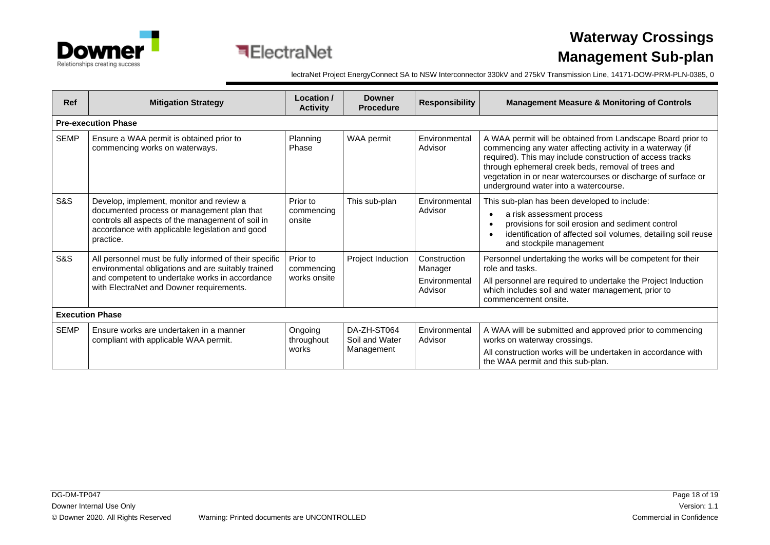



# **Waterway Crossings Management Sub-plan**

lectraNet Project EnergyConnect SA to NSW Interconnector 330kV and 275kV Transmission Line, 14171-DOW-PRM-PLN-0385, 0

| <b>Ref</b>     | <b>Mitigation Strategy</b>                                                                                                                                                                                  | Location /<br><b>Activity</b>          | <b>Downer</b><br><b>Procedure</b>           | <b>Responsibility</b>                               | <b>Management Measure &amp; Monitoring of Controls</b>                                                                                                                                                                                                                                                                                                |  |  |
|----------------|-------------------------------------------------------------------------------------------------------------------------------------------------------------------------------------------------------------|----------------------------------------|---------------------------------------------|-----------------------------------------------------|-------------------------------------------------------------------------------------------------------------------------------------------------------------------------------------------------------------------------------------------------------------------------------------------------------------------------------------------------------|--|--|
|                | <b>Pre-execution Phase</b>                                                                                                                                                                                  |                                        |                                             |                                                     |                                                                                                                                                                                                                                                                                                                                                       |  |  |
| <b>SEMP</b>    | Ensure a WAA permit is obtained prior to<br>commencing works on waterways.                                                                                                                                  | Planning<br>Phase                      | WAA permit                                  | Environmental<br>Advisor                            | A WAA permit will be obtained from Landscape Board prior to<br>commencing any water affecting activity in a waterway (if<br>required). This may include construction of access tracks<br>through ephemeral creek beds, removal of trees and<br>vegetation in or near watercourses or discharge of surface or<br>underground water into a watercourse. |  |  |
| <b>S&amp;S</b> | Develop, implement, monitor and review a<br>documented process or management plan that<br>controls all aspects of the management of soil in<br>accordance with applicable legislation and good<br>practice. | Prior to<br>commencing<br>onsite       | This sub-plan                               | Environmental<br>Advisor                            | This sub-plan has been developed to include:<br>a risk assessment process<br>provisions for soil erosion and sediment control<br>identification of affected soil volumes, detailing soil reuse<br>and stockpile management                                                                                                                            |  |  |
| S&S            | All personnel must be fully informed of their specific<br>environmental obligations and are suitably trained<br>and competent to undertake works in accordance<br>with ElectraNet and Downer requirements.  | Prior to<br>commencing<br>works onsite | Project Induction                           | Construction<br>Manager<br>Environmental<br>Advisor | Personnel undertaking the works will be competent for their<br>role and tasks.<br>All personnel are required to undertake the Project Induction<br>which includes soil and water management, prior to<br>commencement onsite.                                                                                                                         |  |  |
|                | <b>Execution Phase</b>                                                                                                                                                                                      |                                        |                                             |                                                     |                                                                                                                                                                                                                                                                                                                                                       |  |  |
| <b>SEMP</b>    | Ensure works are undertaken in a manner<br>compliant with applicable WAA permit.                                                                                                                            | Ongoing<br>throughout<br>works         | DA-ZH-ST064<br>Soil and Water<br>Management | Environmental<br>Advisor                            | A WAA will be submitted and approved prior to commencing<br>works on waterway crossings.<br>All construction works will be undertaken in accordance with<br>the WAA permit and this sub-plan.                                                                                                                                                         |  |  |